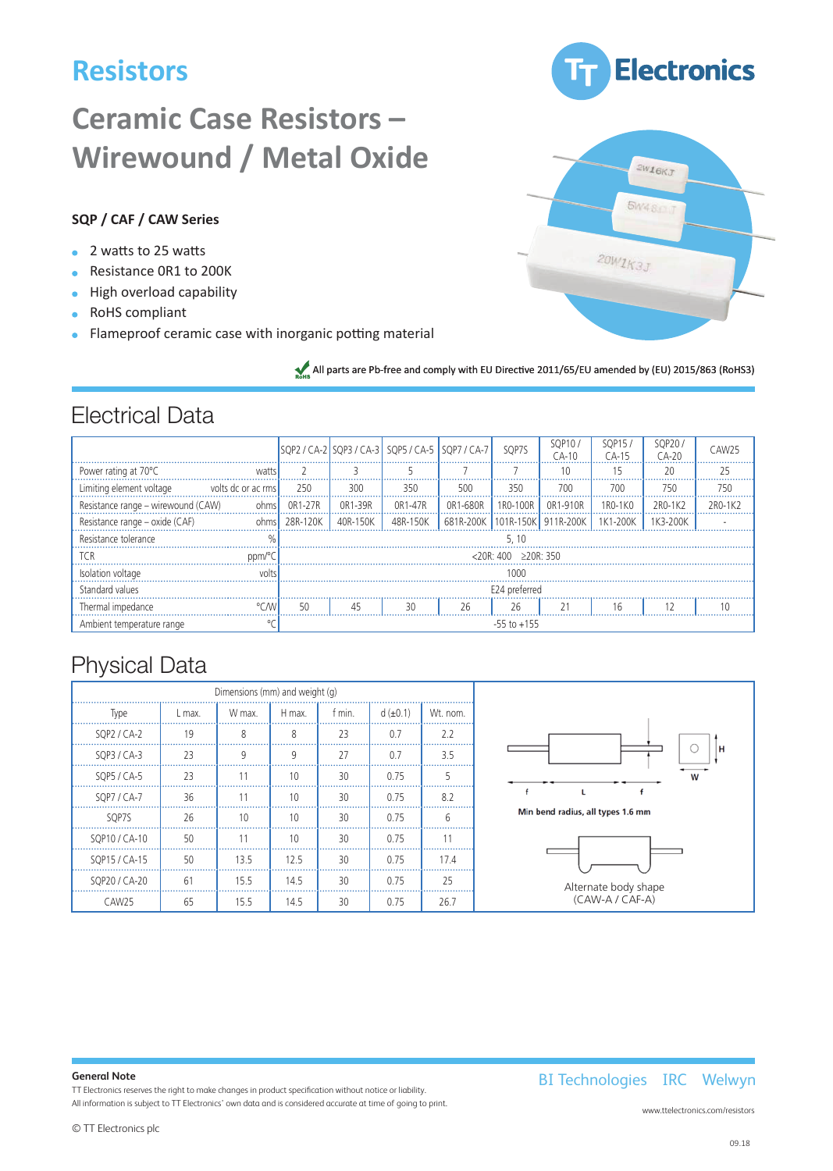# **Resistors**

# **Ceramic Case Resistors – Wirewound / Metal Oxide**

### **SQP / CAF / CAW Series**

- 2 watts to 25 watts
- Resistance 0R1 to 200K
- High overload capability
- RoHS compliant
- **•** Flameproof ceramic case with inorganic potting material

All parts are Pb-free and comply with EU Directive 2011/65/EU amended by (EU) 2015/863 (RoHS3)

### Electrical Data

|                                    |                    |                 |          | SQP2 / CA-2 SQP3 / CA-3 SQP5 / CA-5 SQP7 / CA-7 |                                 | SQP7S                               | SOP10/<br>$CA-10$ | <b>SOP15</b><br>`A-15            | SOP20<br>$CA-20$ | CAW25   |
|------------------------------------|--------------------|-----------------|----------|-------------------------------------------------|---------------------------------|-------------------------------------|-------------------|----------------------------------|------------------|---------|
| Power rating at 70°C               | watts              |                 |          |                                                 |                                 |                                     |                   |                                  | 20               | 25      |
| Limiting element voltage           | volts dc or ac rms | 250             | 300      | 350                                             | 500                             | 350                                 | 700               | 700                              | 750              | 750     |
| Resistance range - wirewound (CAW) | ohms               | 0R1-27R         | 0R1-39R  | 0R1-47R                                         | OR1-680R                        | 1R0-100R                            | OR1-910R          | 1R <sub>0</sub> -1 <sub>K0</sub> | 2R0-1K2          | 2R0-1K2 |
| Resistance range - oxide (CAF)     |                    | $ohms$ 28R-120K | 40R-150K | 48R-150K                                        | 681R-200K 101R-150K 911R-200K I |                                     |                   | 1K1-200K 1K3-200K                |                  |         |
| Resistance tolerance               |                    |                 |          |                                                 |                                 | 5.10                                |                   |                                  |                  |         |
| <b>TCR</b>                         | ppm/°C.            |                 |          |                                                 |                                 | $< 20R \cdot 400$ $> 20R \cdot 350$ |                   |                                  |                  |         |
| Isolation voltage                  | volts              |                 |          |                                                 |                                 | 1000                                |                   |                                  |                  |         |
| Standard values                    |                    |                 |          |                                                 |                                 | E24 preferred                       |                   |                                  |                  |         |
| Thermal impedance                  |                    | 50              | 45       | 30                                              | 26                              | 26                                  |                   | 16                               |                  | 10      |
| Ambient temperature range          |                    |                 |          |                                                 |                                 | $-55$ to $+155$                     |                   |                                  |                  |         |

## Physical Data

| Dimensions (mm) and weight (g) |        |        |        |        |               |                |                                   |
|--------------------------------|--------|--------|--------|--------|---------------|----------------|-----------------------------------|
| Type                           | L max. | W max. | H max. | t min. | $d (\pm 0.1)$ | Wt. nom.       |                                   |
| SQP2 / CA-2                    | 19     | 8      | 8      | 23     | 0.7           | 2.2            |                                   |
| SQP3 / CA-3                    | 23     | 9      | 9      | 27     | 0.7           | 3.5            |                                   |
| SQP5 / CA-5                    | 23     | 11     | 10     | 30     | 0.75          |                |                                   |
| SQP7 / CA-7                    | 36     | 11     | 10     | 30     | 0.75          | 8.2            |                                   |
| SOP7S                          | 26     | 10     | 10     | 30     | 0.75          | 6              | Min bend radius, all types 1.6 mm |
| SQP10 / CA-10                  | 50     | 11     | 10     | 30     | 0.75          | 1 <sup>1</sup> |                                   |
| SQP15 / CA-15                  | 50     | 13.5   | 12.5   | 30     | 0.75          | 17.4           |                                   |
| SQP20 / CA-20                  | 61     | 15.5   | 14.5   | 30     | 0.75          | 25             | Alternate body shape              |
| CAW <sub>25</sub>              | 65     | 15.5   | 14.5   | 30     | 0.75          | 26.7           | (CAW-A / CAF-A)                   |

#### **General Note**

TT Electronics reserves the right to make changes in product specification without notice or liability.

All information is subject to TT Electronics' own data and is considered accurate at time of going to print.

BI Technologies IRC Welwyn



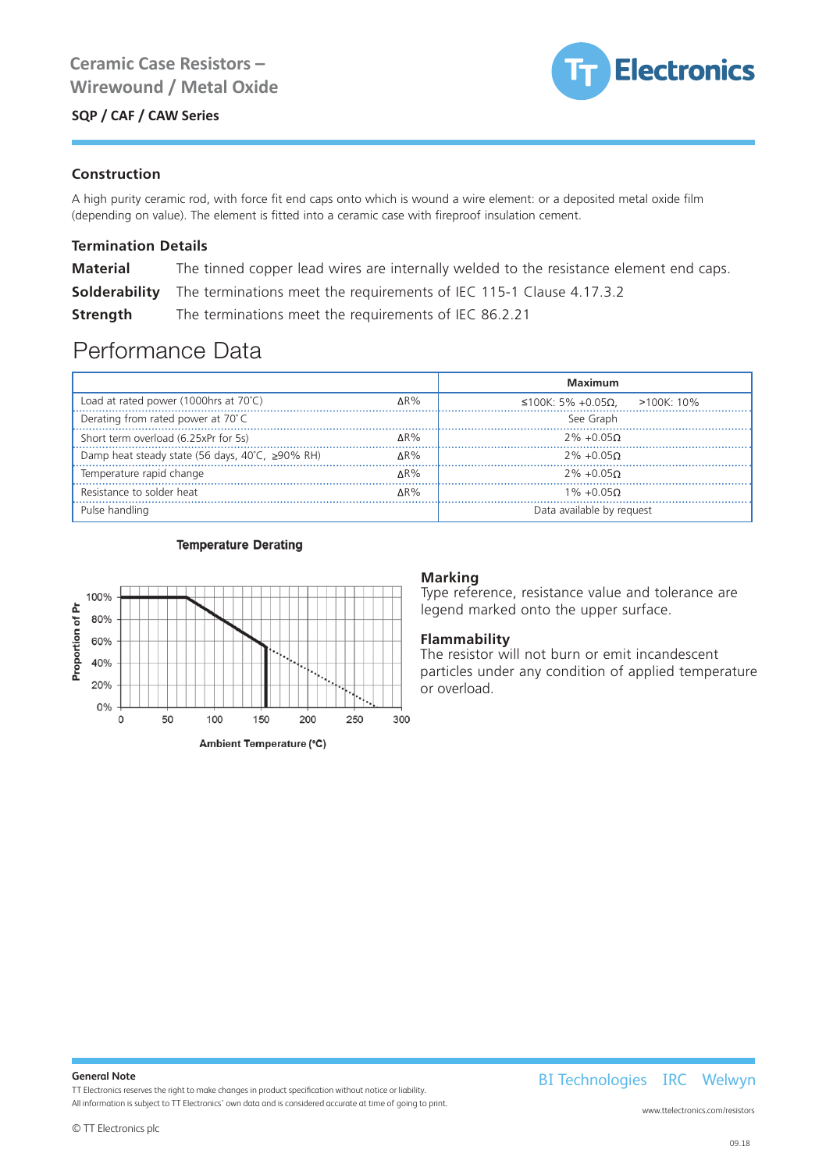### SQP / CAF / CAW Series



#### **Construction**

SQP Series

A high purity ceramic rod, with force fit end caps onto which is wound a wire element: or a deposited metal oxide film (depending on value). The element is fitted into a ceramic case with fireproof insulation cement.

### **Termination Details**

| <b>Material</b> | The tinned copper lead wires are internally welded to the resistance element end caps.   |
|-----------------|------------------------------------------------------------------------------------------|
|                 | <b>Solderability</b> The terminations meet the requirements of IEC 115-1 Clause 4.17.3.2 |
| Strength        | The terminations meet the requirements of IEC 86.2.21                                    |

Performance Data

|                                                       |             | <b>Maximum</b>                    |
|-------------------------------------------------------|-------------|-----------------------------------|
| Load at rated power (1000hrs at 70°C)                 | $\Delta$ R% | ≤100K: 5% +0.05Ω.<br>$>100K:10\%$ |
| Derating from rated power at 70°C                     |             | See Graph                         |
| Short term overload (6.25xPr for 5s)                  | $\Delta$ R% | $2\% + 0.05\Omega$                |
| Damp heat steady state (56 days, 40°C, $\geq$ 90% RH) | $\Delta$ R% | $2\% + 0.050$                     |
| Temperature rapid change                              | AR%         | $2\% + 0.05$                      |
| Resistance to solder heat                             | $\Delta$ R% | $1\% + 0.050$                     |
| Pulse handling                                        |             | Data available by request         |

#### **Temperature Derating**



### **Marking**

Type reference, resistance value and tolerance are legend marked onto the upper surface.

#### **Flammability**

The resistor will not burn or emit incandescent particles under any condition of applied temperature or overload.

#### **General Note**

TT Electronics reserves the right to make changes in product specification without notice or liability.

All information is subject to TT Electronics' own data and is considered accurate at time of going to print.<br>.

BI Technologies IRC Welwyn